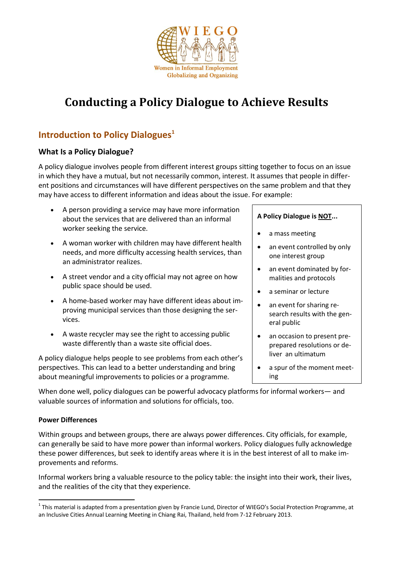

# **Conducting a Policy Dialogue to Achieve Results**

## **Introduction to Policy Dialogues<sup>1</sup>**

#### **What Is a Policy Dialogue?**

A policy dialogue involves people from different interest groups sitting together to focus on an issue in which they have a mutual, but not necessarily common, interest. It assumes that people in different positions and circumstances will have different perspectives on the same problem and that they may have access to different information and ideas about the issue. For example:

- A person providing a service may have more information about the services that are delivered than an informal worker seeking the service.
- A woman worker with children may have different health needs, and more difficulty accessing health services, than an administrator realizes.
- A street vendor and a city official may not agree on how public space should be used.
- A home-based worker may have different ideas about improving municipal services than those designing the services.
- A waste recycler may see the right to accessing public waste differently than a waste site official does.

A policy dialogue helps people to see problems from each other's perspectives. This can lead to a better understanding and bring about meaningful improvements to policies or a programme.

#### **A Policy Dialogue is NOT...**

- a mass meeting
- an event controlled by only one interest group
- an event dominated by formalities and protocols
- a seminar or lecture
- an event for sharing research results with the general public
- an occasion to present preprepared resolutions or deliver an ultimatum
- a spur of the moment meeting

When done well, policy dialogues can be powerful advocacy platforms for informal workers— and valuable sources of information and solutions for officials, too.

#### **Power Differences**

 $\overline{a}$ 

Within groups and between groups, there are always power differences. City officials, for example, can generally be said to have more power than informal workers. Policy dialogues fully acknowledge these power differences, but seek to identify areas where it is in the best interest of all to make improvements and reforms.

Informal workers bring a valuable resource to the policy table: the insight into their work, their lives, and the realities of the city that they experience.

 $^1$  This material is adapted from a presentation given by Francie Lund, Director of WIEGO's Social Protection Programme, at an Inclusive Cities Annual Learning Meeting in Chiang Rai, Thailand, held from 7-12 February 2013.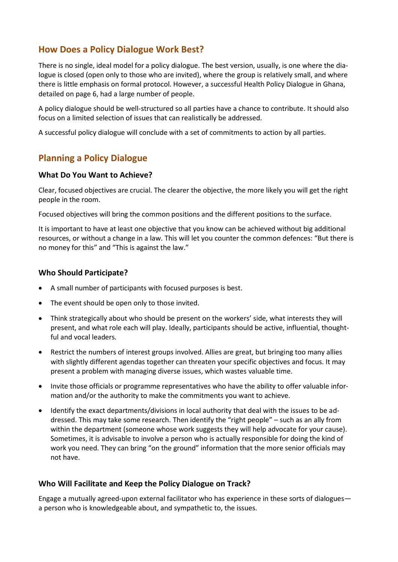### **How Does a Policy Dialogue Work Best?**

There is no single, ideal model for a policy dialogue. The best version, usually, is one where the dialogue is closed (open only to those who are invited), where the group is relatively small, and where there is little emphasis on formal protocol. However, a successful Health Policy Dialogue in Ghana, detailed on page 6, had a large number of people.

A policy dialogue should be well-structured so all parties have a chance to contribute. It should also focus on a limited selection of issues that can realistically be addressed.

A successful policy dialogue will conclude with a set of commitments to action by all parties.

### **Planning a Policy Dialogue**

#### **What Do You Want to Achieve?**

Clear, focused objectives are crucial. The clearer the objective, the more likely you will get the right people in the room.

Focused objectives will bring the common positions and the different positions to the surface.

It is important to have at least one objective that you know can be achieved without big additional resources, or without a change in a law. This will let you counter the common defences: "But there is no money for this" and "This is against the law."

#### **Who Should Participate?**

- A small number of participants with focused purposes is best.
- The event should be open only to those invited.
- Think strategically about who should be present on the workers' side, what interests they will present, and what role each will play. Ideally, participants should be active, influential, thoughtful and vocal leaders.
- Restrict the numbers of interest groups involved. Allies are great, but bringing too many allies with slightly different agendas together can threaten your specific objectives and focus. It may present a problem with managing diverse issues, which wastes valuable time.
- Invite those officials or programme representatives who have the ability to offer valuable information and/or the authority to make the commitments you want to achieve.
- Identify the exact departments/divisions in local authority that deal with the issues to be addressed. This may take some research. Then identify the "right people" – such as an ally from within the department (someone whose work suggests they will help advocate for your cause). Sometimes, it is advisable to involve a person who is actually responsible for doing the kind of work you need. They can bring "on the ground" information that the more senior officials may not have.

#### **Who Will Facilitate and Keep the Policy Dialogue on Track?**

Engage a mutually agreed-upon external facilitator who has experience in these sorts of dialogues a person who is knowledgeable about, and sympathetic to, the issues.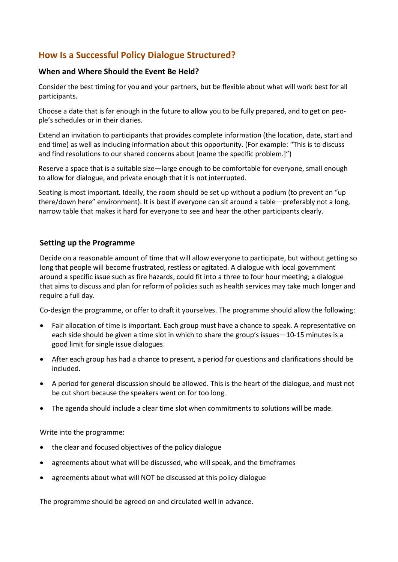## **How Is a Successful Policy Dialogue Structured?**

#### **When and Where Should the Event Be Held?**

Consider the best timing for you and your partners, but be flexible about what will work best for all participants.

Choose a date that is far enough in the future to allow you to be fully prepared, and to get on people's schedules or in their diaries.

Extend an invitation to participants that provides complete information (the location, date, start and end time) as well as including information about this opportunity. (For example: "This is to discuss and find resolutions to our shared concerns about [name the specific problem.]")

Reserve a space that is a suitable size—large enough to be comfortable for everyone, small enough to allow for dialogue, and private enough that it is not interrupted.

Seating is most important. Ideally, the room should be set up without a podium (to prevent an "up there/down here" environment). It is best if everyone can sit around a table—preferably not a long, narrow table that makes it hard for everyone to see and hear the other participants clearly.

#### **Setting up the Programme**

Decide on a reasonable amount of time that will allow everyone to participate, but without getting so long that people will become frustrated, restless or agitated. A dialogue with local government around a specific issue such as fire hazards, could fit into a three to four hour meeting; a dialogue that aims to discuss and plan for reform of policies such as health services may take much longer and require a full day.

Co-design the programme, or offer to draft it yourselves. The programme should allow the following:

- Fair allocation of time is important. Each group must have a chance to speak. A representative on each side should be given a time slot in which to share the group's issues—10-15 minutes is a good limit for single issue dialogues.
- After each group has had a chance to present, a period for questions and clarifications should be included.
- A period for general discussion should be allowed. This is the heart of the dialogue, and must not be cut short because the speakers went on for too long.
- The agenda should include a clear time slot when commitments to solutions will be made.

Write into the programme:

- the clear and focused objectives of the policy dialogue
- agreements about what will be discussed, who will speak, and the timeframes
- agreements about what will NOT be discussed at this policy dialogue

The programme should be agreed on and circulated well in advance.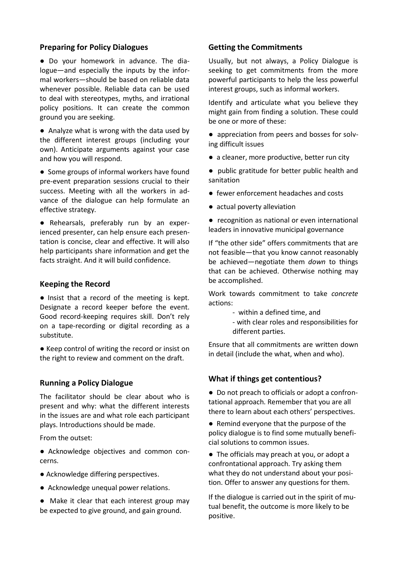#### **Preparing for Policy Dialogues**

● Do your homework in advance. The dialogue—and especially the inputs by the informal workers—should be based on reliable data whenever possible. Reliable data can be used to deal with stereotypes, myths, and irrational policy positions. It can create the common ground you are seeking.

● Analyze what is wrong with the data used by the different interest groups (including your own). Anticipate arguments against your case and how you will respond.

● Some groups of informal workers have found pre-event preparation sessions crucial to their success. Meeting with all the workers in advance of the dialogue can help formulate an effective strategy.

● Rehearsals, preferably run by an experienced presenter, can help ensure each presentation is concise, clear and effective. It will also help participants share information and get the facts straight. And it will build confidence.

#### **Keeping the Record**

● Insist that a record of the meeting is kept. Designate a record keeper before the event. Good record-keeping requires skill. Don't rely on a tape-recording or digital recording as a substitute.

● Keep control of writing the record or insist on the right to review and comment on the draft.

#### **Running a Policy Dialogue**

The facilitator should be clear about who is present and why: what the different interests in the issues are and what role each participant plays. Introductions should be made.

From the outset:

● Acknowledge objectives and common concerns.

- Acknowledge differing perspectives.
- Acknowledge unequal power relations.

● Make it clear that each interest group may be expected to give ground, and gain ground.

#### **Getting the Commitments**

Usually, but not always, a Policy Dialogue is seeking to get commitments from the more powerful participants to help the less powerful interest groups, such as informal workers.

Identify and articulate what you believe they might gain from finding a solution. These could be one or more of these:

- appreciation from peers and bosses for solving difficult issues
- a cleaner, more productive, better run city
- public gratitude for better public health and sanitation
- fewer enforcement headaches and costs
- actual poverty alleviation
- recognition as national or even international leaders in innovative municipal governance

If "the other side" offers commitments that are not feasible—that you know cannot reasonably be achieved—negotiate them *down* to things that can be achieved. Otherwise nothing may be accomplished.

Work towards commitment to take *concrete* actions:

- within a defined time, and
- with clear roles and responsibilities for different parties.

Ensure that all commitments are written down in detail (include the what, when and who).

#### **What if things get contentious?**

● Do not preach to officials or adopt a confrontational approach. Remember that you are all there to learn about each others' perspectives.

● Remind everyone that the purpose of the policy dialogue is to find some mutually beneficial solutions to common issues.

● The officials may preach at you, or adopt a confrontational approach. Try asking them what they do not understand about your position. Offer to answer any questions for them.

If the dialogue is carried out in the spirit of mutual benefit, the outcome is more likely to be positive.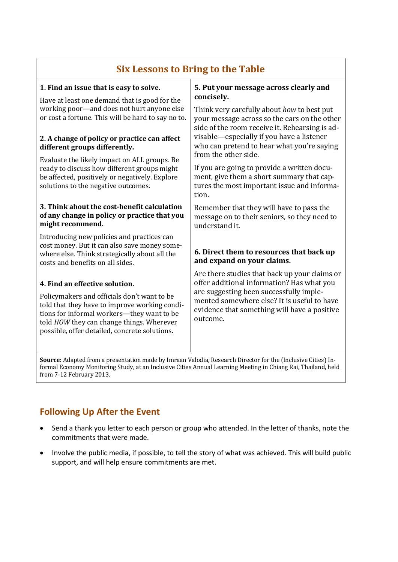## **Six Lessons to Bring to the Table**

| 1. Find an issue that is easy to solve.<br>Have at least one demand that is good for the<br>working poor-and does not hurt anyone else<br>or cost a fortune. This will be hard to say no to.<br>2. A change of policy or practice can affect<br>different groups differently.<br>Evaluate the likely impact on ALL groups. Be<br>ready to discuss how different groups might<br>be affected, positively or negatively. Explore<br>solutions to the negative outcomes. | 5. Put your message across clearly and<br>concisely.<br>Think very carefully about how to best put<br>your message across so the ears on the other<br>side of the room receive it. Rehearsing is ad-<br>visable—especially if you have a listener<br>who can pretend to hear what you're saying<br>from the other side.<br>If you are going to provide a written docu-<br>ment, give them a short summary that cap-<br>tures the most important issue and informa-<br>tion. |
|-----------------------------------------------------------------------------------------------------------------------------------------------------------------------------------------------------------------------------------------------------------------------------------------------------------------------------------------------------------------------------------------------------------------------------------------------------------------------|-----------------------------------------------------------------------------------------------------------------------------------------------------------------------------------------------------------------------------------------------------------------------------------------------------------------------------------------------------------------------------------------------------------------------------------------------------------------------------|
| 3. Think about the cost-benefit calculation<br>of any change in policy or practice that you<br>might recommend.                                                                                                                                                                                                                                                                                                                                                       | Remember that they will have to pass the<br>message on to their seniors, so they need to<br>understand it.                                                                                                                                                                                                                                                                                                                                                                  |
| Introducing new policies and practices can<br>cost money. But it can also save money some-<br>where else. Think strategically about all the<br>costs and benefits on all sides.                                                                                                                                                                                                                                                                                       | 6. Direct them to resources that back up<br>and expand on your claims.                                                                                                                                                                                                                                                                                                                                                                                                      |
| 4. Find an effective solution.<br>Policymakers and officials don't want to be<br>told that they have to improve working condi-<br>tions for informal workers-they want to be<br>told HOW they can change things. Wherever<br>possible, offer detailed, concrete solutions.                                                                                                                                                                                            | Are there studies that back up your claims or<br>offer additional information? Has what you<br>are suggesting been successfully imple-<br>mented somewhere else? It is useful to have<br>evidence that something will have a positive<br>outcome.                                                                                                                                                                                                                           |
| Source: Adapted from a presentation made by Imraan Valodia, Research Director for the (Inclusive Cities) In-                                                                                                                                                                                                                                                                                                                                                          |                                                                                                                                                                                                                                                                                                                                                                                                                                                                             |

formal Economy Monitoring Study, at an Inclusive Cities Annual Learning Meeting in Chiang Rai, Thailand, held from 7-12 February 2013.

## **Following Up After the Event**

- Send a thank you letter to each person or group who attended. In the letter of thanks, note the commitments that were made.
- Involve the public media, if possible, to tell the story of what was achieved. This will build public support, and will help ensure commitments are met.